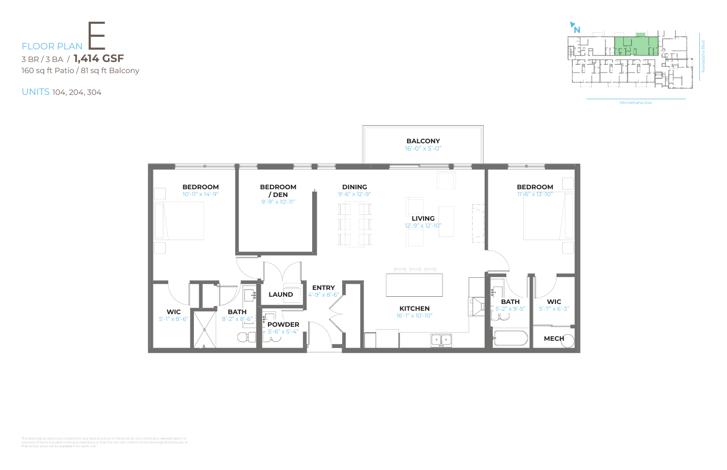Minnehaha Ave



UNITS 104, 204, 304